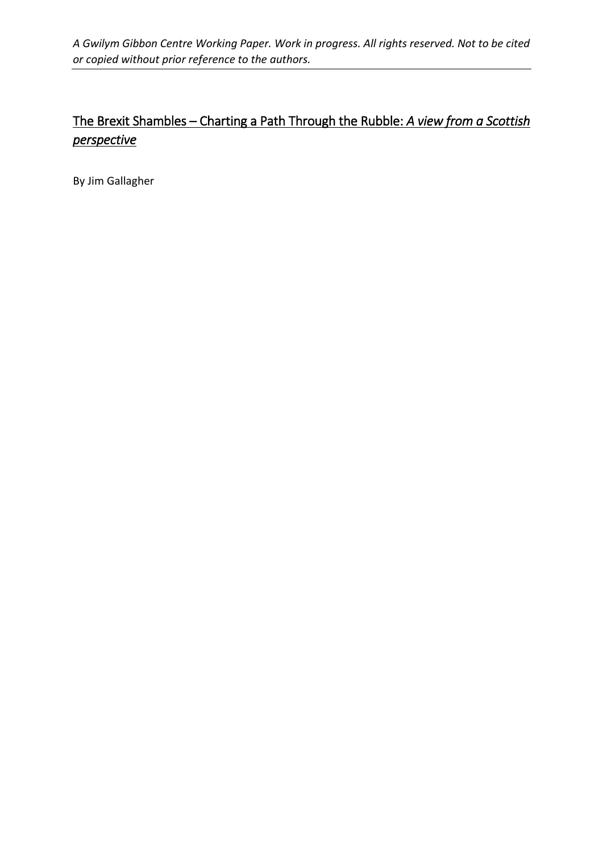*A Gwilym Gibbon Centre Working Paper. Work in progress. All rights reserved. Not to be cited or copied without prior reference to the authors.*

# The Brexit Shambles – Charting a Path Through the Rubble: *A view from a Scottish perspective*

By Jim Gallagher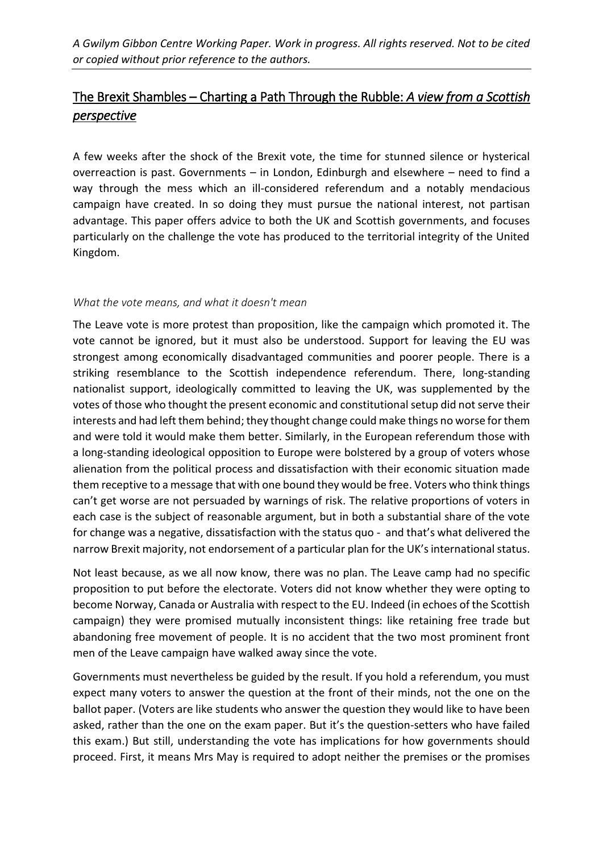# The Brexit Shambles – Charting a Path Through the Rubble: *A view from a Scottish perspective*

A few weeks after the shock of the Brexit vote, the time for stunned silence or hysterical overreaction is past. Governments – in London, Edinburgh and elsewhere – need to find a way through the mess which an ill-considered referendum and a notably mendacious campaign have created. In so doing they must pursue the national interest, not partisan advantage. This paper offers advice to both the UK and Scottish governments, and focuses particularly on the challenge the vote has produced to the territorial integrity of the United Kingdom.

#### *What the vote means, and what it doesn't mean*

The Leave vote is more protest than proposition, like the campaign which promoted it. The vote cannot be ignored, but it must also be understood. Support for leaving the EU was strongest among economically disadvantaged communities and poorer people. There is a striking resemblance to the Scottish independence referendum. There, long-standing nationalist support, ideologically committed to leaving the UK, was supplemented by the votes of those who thought the present economic and constitutional setup did not serve their interests and had left them behind; they thought change could make things no worse for them and were told it would make them better. Similarly, in the European referendum those with a long-standing ideological opposition to Europe were bolstered by a group of voters whose alienation from the political process and dissatisfaction with their economic situation made them receptive to a message that with one bound they would be free. Voters who think things can't get worse are not persuaded by warnings of risk. The relative proportions of voters in each case is the subject of reasonable argument, but in both a substantial share of the vote for change was a negative, dissatisfaction with the status quo - and that's what delivered the narrow Brexit majority, not endorsement of a particular plan for the UK's international status.

Not least because, as we all now know, there was no plan. The Leave camp had no specific proposition to put before the electorate. Voters did not know whether they were opting to become Norway, Canada or Australia with respect to the EU. Indeed (in echoes of the Scottish campaign) they were promised mutually inconsistent things: like retaining free trade but abandoning free movement of people. It is no accident that the two most prominent front men of the Leave campaign have walked away since the vote.

Governments must nevertheless be guided by the result. If you hold a referendum, you must expect many voters to answer the question at the front of their minds, not the one on the ballot paper. (Voters are like students who answer the question they would like to have been asked, rather than the one on the exam paper. But it's the question-setters who have failed this exam.) But still, understanding the vote has implications for how governments should proceed. First, it means Mrs May is required to adopt neither the premises or the promises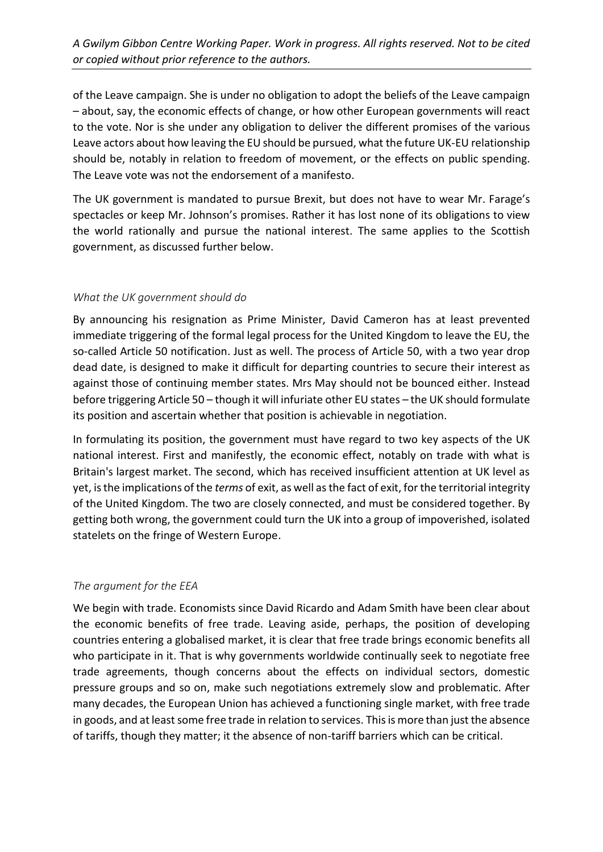of the Leave campaign. She is under no obligation to adopt the beliefs of the Leave campaign – about, say, the economic effects of change, or how other European governments will react to the vote. Nor is she under any obligation to deliver the different promises of the various Leave actors about how leaving the EU should be pursued, what the future UK-EU relationship should be, notably in relation to freedom of movement, or the effects on public spending. The Leave vote was not the endorsement of a manifesto.

The UK government is mandated to pursue Brexit, but does not have to wear Mr. Farage's spectacles or keep Mr. Johnson's promises. Rather it has lost none of its obligations to view the world rationally and pursue the national interest. The same applies to the Scottish government, as discussed further below.

## *What the UK government should do*

By announcing his resignation as Prime Minister, David Cameron has at least prevented immediate triggering of the formal legal process for the United Kingdom to leave the EU, the so-called Article 50 notification. Just as well. The process of Article 50, with a two year drop dead date, is designed to make it difficult for departing countries to secure their interest as against those of continuing member states. Mrs May should not be bounced either. Instead before triggering Article 50 – though it will infuriate other EU states – the UK should formulate its position and ascertain whether that position is achievable in negotiation.

In formulating its position, the government must have regard to two key aspects of the UK national interest. First and manifestly, the economic effect, notably on trade with what is Britain's largest market. The second, which has received insufficient attention at UK level as yet, is the implications of the *terms* of exit, as well as the fact of exit, for the territorial integrity of the United Kingdom. The two are closely connected, and must be considered together. By getting both wrong, the government could turn the UK into a group of impoverished, isolated statelets on the fringe of Western Europe.

#### *The argument for the EEA*

We begin with trade. Economists since David Ricardo and Adam Smith have been clear about the economic benefits of free trade. Leaving aside, perhaps, the position of developing countries entering a globalised market, it is clear that free trade brings economic benefits all who participate in it. That is why governments worldwide continually seek to negotiate free trade agreements, though concerns about the effects on individual sectors, domestic pressure groups and so on, make such negotiations extremely slow and problematic. After many decades, the European Union has achieved a functioning single market, with free trade in goods, and at least some free trade in relation to services. This is more than just the absence of tariffs, though they matter; it the absence of non-tariff barriers which can be critical.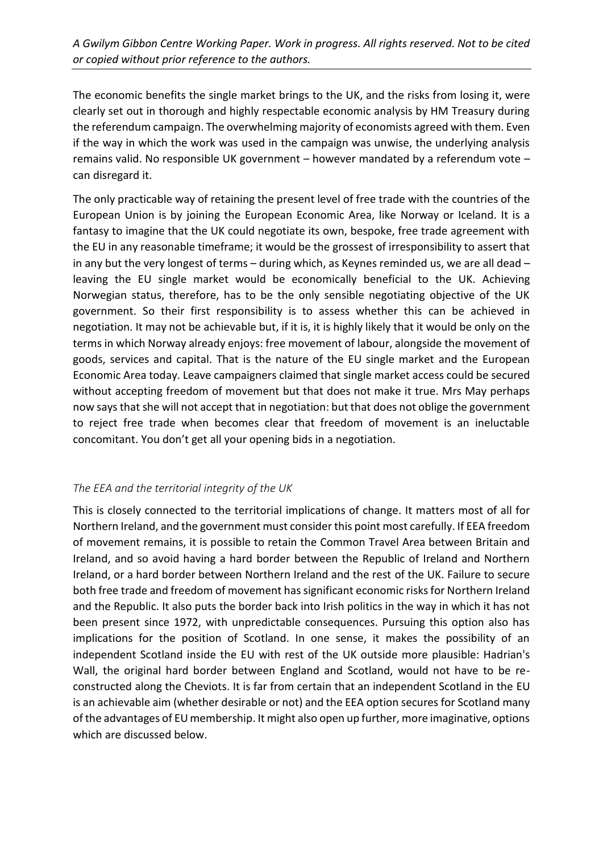*A Gwilym Gibbon Centre Working Paper. Work in progress. All rights reserved. Not to be cited or copied without prior reference to the authors.*

The economic benefits the single market brings to the UK, and the risks from losing it, were clearly set out in thorough and highly respectable economic analysis by HM Treasury during the referendum campaign. The overwhelming majority of economists agreed with them. Even if the way in which the work was used in the campaign was unwise, the underlying analysis remains valid. No responsible UK government – however mandated by a referendum vote – can disregard it.

The only practicable way of retaining the present level of free trade with the countries of the European Union is by joining the European Economic Area, like Norway or Iceland. It is a fantasy to imagine that the UK could negotiate its own, bespoke, free trade agreement with the EU in any reasonable timeframe; it would be the grossest of irresponsibility to assert that in any but the very longest of terms – during which, as Keynes reminded us, we are all dead – leaving the EU single market would be economically beneficial to the UK. Achieving Norwegian status, therefore, has to be the only sensible negotiating objective of the UK government. So their first responsibility is to assess whether this can be achieved in negotiation. It may not be achievable but, if it is, it is highly likely that it would be only on the terms in which Norway already enjoys: free movement of labour, alongside the movement of goods, services and capital. That is the nature of the EU single market and the European Economic Area today. Leave campaigners claimed that single market access could be secured without accepting freedom of movement but that does not make it true. Mrs May perhaps now says that she will not accept that in negotiation: but that does not oblige the government to reject free trade when becomes clear that freedom of movement is an ineluctable concomitant. You don't get all your opening bids in a negotiation.

#### *The EEA and the territorial integrity of the UK*

This is closely connected to the territorial implications of change. It matters most of all for Northern Ireland, and the government must consider this point most carefully. If EEA freedom of movement remains, it is possible to retain the Common Travel Area between Britain and Ireland, and so avoid having a hard border between the Republic of Ireland and Northern Ireland, or a hard border between Northern Ireland and the rest of the UK. Failure to secure both free trade and freedom of movement has significant economic risks for Northern Ireland and the Republic. It also puts the border back into Irish politics in the way in which it has not been present since 1972, with unpredictable consequences. Pursuing this option also has implications for the position of Scotland. In one sense, it makes the possibility of an independent Scotland inside the EU with rest of the UK outside more plausible: Hadrian's Wall, the original hard border between England and Scotland, would not have to be reconstructed along the Cheviots. It is far from certain that an independent Scotland in the EU is an achievable aim (whether desirable or not) and the EEA option secures for Scotland many of the advantages of EUmembership. It might also open up further, more imaginative, options which are discussed below.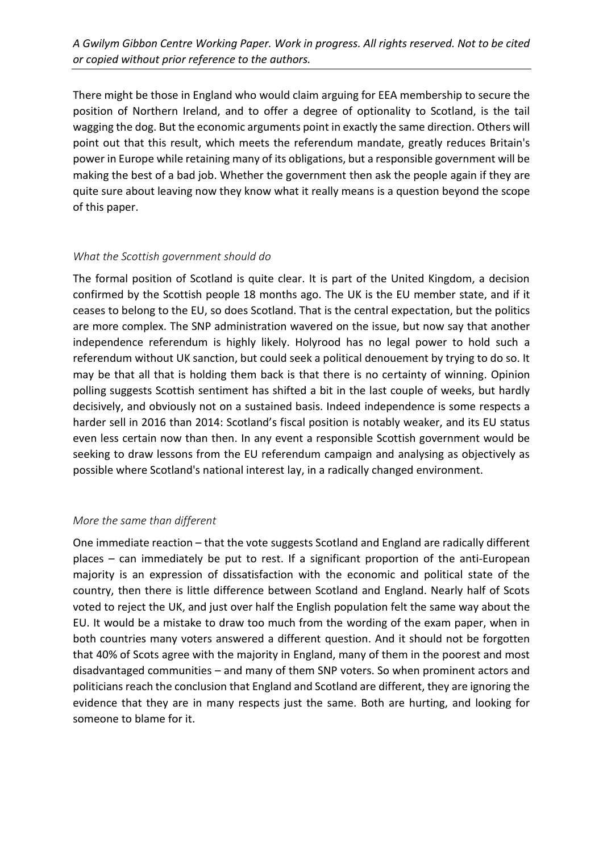There might be those in England who would claim arguing for EEA membership to secure the position of Northern Ireland, and to offer a degree of optionality to Scotland, is the tail wagging the dog. But the economic arguments point in exactly the same direction. Others will point out that this result, which meets the referendum mandate, greatly reduces Britain's power in Europe while retaining many of its obligations, but a responsible government will be making the best of a bad job. Whether the government then ask the people again if they are quite sure about leaving now they know what it really means is a question beyond the scope of this paper.

#### *What the Scottish government should do*

The formal position of Scotland is quite clear. It is part of the United Kingdom, a decision confirmed by the Scottish people 18 months ago. The UK is the EU member state, and if it ceases to belong to the EU, so does Scotland. That is the central expectation, but the politics are more complex. The SNP administration wavered on the issue, but now say that another independence referendum is highly likely. Holyrood has no legal power to hold such a referendum without UK sanction, but could seek a political denouement by trying to do so. It may be that all that is holding them back is that there is no certainty of winning. Opinion polling suggests Scottish sentiment has shifted a bit in the last couple of weeks, but hardly decisively, and obviously not on a sustained basis. Indeed independence is some respects a harder sell in 2016 than 2014: Scotland's fiscal position is notably weaker, and its EU status even less certain now than then. In any event a responsible Scottish government would be seeking to draw lessons from the EU referendum campaign and analysing as objectively as possible where Scotland's national interest lay, in a radically changed environment.

#### *More the same than different*

One immediate reaction – that the vote suggests Scotland and England are radically different places – can immediately be put to rest. If a significant proportion of the anti-European majority is an expression of dissatisfaction with the economic and political state of the country, then there is little difference between Scotland and England. Nearly half of Scots voted to reject the UK, and just over half the English population felt the same way about the EU. It would be a mistake to draw too much from the wording of the exam paper, when in both countries many voters answered a different question. And it should not be forgotten that 40% of Scots agree with the majority in England, many of them in the poorest and most disadvantaged communities – and many of them SNP voters. So when prominent actors and politicians reach the conclusion that England and Scotland are different, they are ignoring the evidence that they are in many respects just the same. Both are hurting, and looking for someone to blame for it.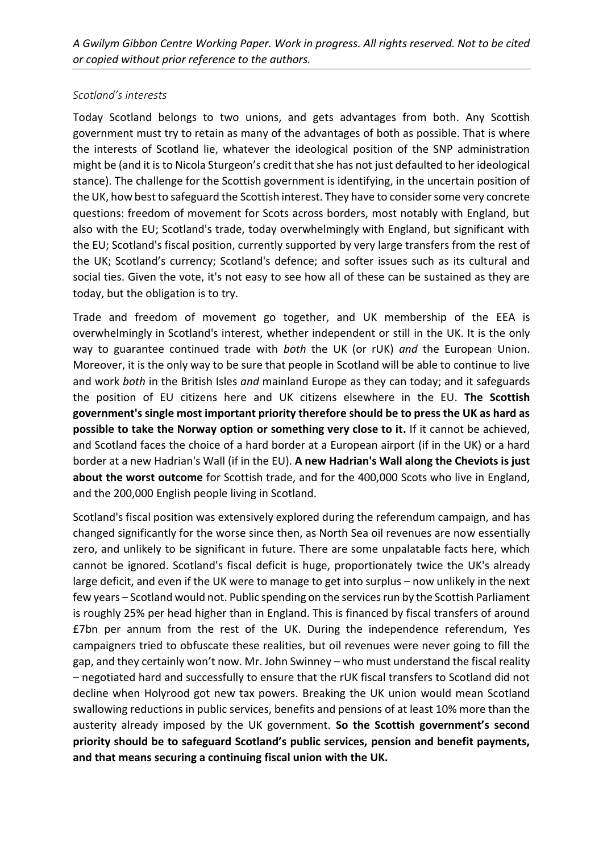# *Scotland's interests*

Today Scotland belongs to two unions, and gets advantages from both. Any Scottish government must try to retain as many of the advantages of both as possible. That is where the interests of Scotland lie, whatever the ideological position of the SNP administration might be (and it is to Nicola Sturgeon's credit that she has not just defaulted to her ideological stance). The challenge for the Scottish government is identifying, in the uncertain position of the UK, how best to safeguard the Scottish interest. They have to consider some very concrete questions: freedom of movement for Scots across borders, most notably with England, but also with the EU; Scotland's trade, today overwhelmingly with England, but significant with the EU; Scotland's fiscal position, currently supported by very large transfers from the rest of the UK; Scotland's currency; Scotland's defence; and softer issues such as its cultural and social ties. Given the vote, it's not easy to see how all of these can be sustained as they are today, but the obligation is to try.

Trade and freedom of movement go together, and UK membership of the EEA is overwhelmingly in Scotland's interest, whether independent or still in the UK. It is the only way to guarantee continued trade with *both* the UK (or rUK) *and* the European Union. Moreover, it is the only way to be sure that people in Scotland will be able to continue to live and work *both* in the British Isles *and* mainland Europe as they can today; and it safeguards the position of EU citizens here and UK citizens elsewhere in the EU. **The Scottish government's single most important priority therefore should be to press the UK as hard as possible to take the Norway option or something very close to it.** If it cannot be achieved, and Scotland faces the choice of a hard border at a European airport (if in the UK) or a hard border at a new Hadrian's Wall (if in the EU). **A new Hadrian's Wall along the Cheviots is just about the worst outcome** for Scottish trade, and for the 400,000 Scots who live in England, and the 200,000 English people living in Scotland.

Scotland's fiscal position was extensively explored during the referendum campaign, and has changed significantly for the worse since then, as North Sea oil revenues are now essentially zero, and unlikely to be significant in future. There are some unpalatable facts here, which cannot be ignored. Scotland's fiscal deficit is huge, proportionately twice the UK's already large deficit, and even if the UK were to manage to get into surplus – now unlikely in the next few years – Scotland would not. Public spending on the services run by the Scottish Parliament is roughly 25% per head higher than in England. This is financed by fiscal transfers of around £7bn per annum from the rest of the UK. During the independence referendum, Yes campaigners tried to obfuscate these realities, but oil revenues were never going to fill the gap, and they certainly won't now. Mr. John Swinney – who must understand the fiscal reality – negotiated hard and successfully to ensure that the rUK fiscal transfers to Scotland did not decline when Holyrood got new tax powers. Breaking the UK union would mean Scotland swallowing reductions in public services, benefits and pensions of at least 10% more than the austerity already imposed by the UK government. **So the Scottish government's second priority should be to safeguard Scotland's public services, pension and benefit payments, and that means securing a continuing fiscal union with the UK.**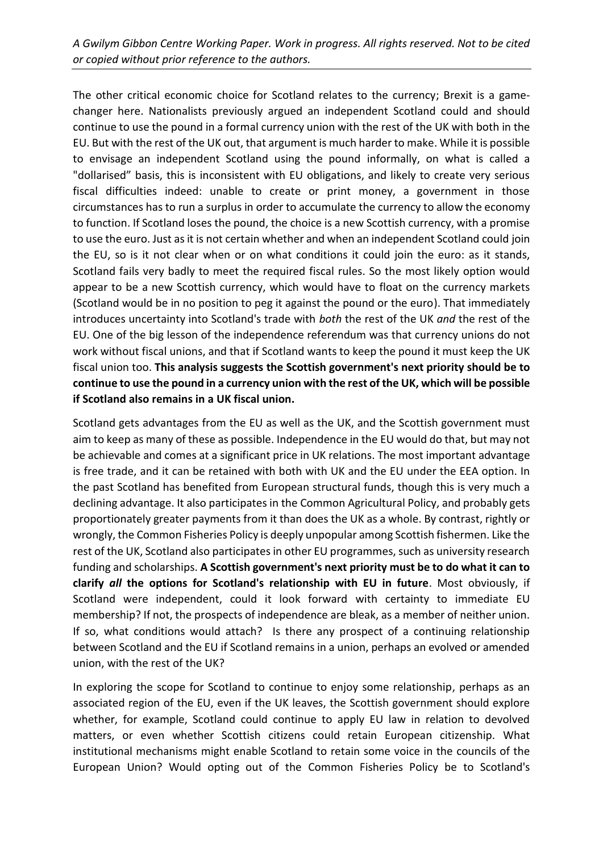The other critical economic choice for Scotland relates to the currency; Brexit is a gamechanger here. Nationalists previously argued an independent Scotland could and should continue to use the pound in a formal currency union with the rest of the UK with both in the EU. But with the rest of the UK out, that argument is much harder to make. While it is possible to envisage an independent Scotland using the pound informally, on what is called a "dollarised" basis, this is inconsistent with EU obligations, and likely to create very serious fiscal difficulties indeed: unable to create or print money, a government in those circumstances has to run a surplus in order to accumulate the currency to allow the economy to function. If Scotland loses the pound, the choice is a new Scottish currency, with a promise to use the euro. Just as it is not certain whether and when an independent Scotland could join the EU, so is it not clear when or on what conditions it could join the euro: as it stands, Scotland fails very badly to meet the required fiscal rules. So the most likely option would appear to be a new Scottish currency, which would have to float on the currency markets (Scotland would be in no position to peg it against the pound or the euro). That immediately introduces uncertainty into Scotland's trade with *both* the rest of the UK *and* the rest of the EU. One of the big lesson of the independence referendum was that currency unions do not work without fiscal unions, and that if Scotland wants to keep the pound it must keep the UK fiscal union too. **This analysis suggests the Scottish government's next priority should be to continue to use the pound in a currency union with the rest of the UK, which will be possible if Scotland also remains in a UK fiscal union.** 

Scotland gets advantages from the EU as well as the UK, and the Scottish government must aim to keep as many of these as possible. Independence in the EU would do that, but may not be achievable and comes at a significant price in UK relations. The most important advantage is free trade, and it can be retained with both with UK and the EU under the EEA option. In the past Scotland has benefited from European structural funds, though this is very much a declining advantage. It also participates in the Common Agricultural Policy, and probably gets proportionately greater payments from it than does the UK as a whole. By contrast, rightly or wrongly, the Common Fisheries Policy is deeply unpopular among Scottish fishermen. Like the rest of the UK, Scotland also participates in other EU programmes, such as university research funding and scholarships. **A Scottish government's next priority must be to do what it can to clarify** *all* **the options for Scotland's relationship with EU in future**. Most obviously, if Scotland were independent, could it look forward with certainty to immediate EU membership? If not, the prospects of independence are bleak, as a member of neither union. If so, what conditions would attach? Is there any prospect of a continuing relationship between Scotland and the EU if Scotland remains in a union, perhaps an evolved or amended union, with the rest of the UK?

In exploring the scope for Scotland to continue to enjoy some relationship, perhaps as an associated region of the EU, even if the UK leaves, the Scottish government should explore whether, for example, Scotland could continue to apply EU law in relation to devolved matters, or even whether Scottish citizens could retain European citizenship. What institutional mechanisms might enable Scotland to retain some voice in the councils of the European Union? Would opting out of the Common Fisheries Policy be to Scotland's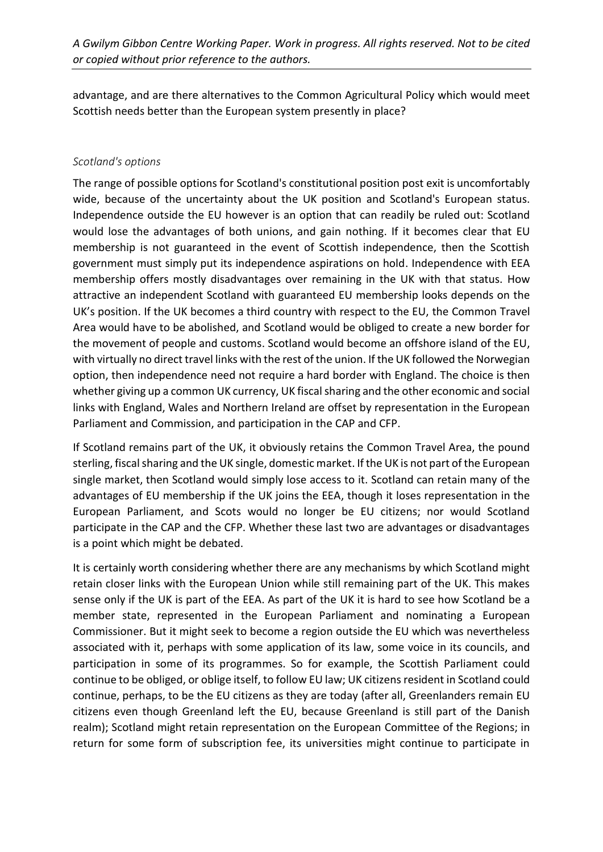advantage, and are there alternatives to the Common Agricultural Policy which would meet Scottish needs better than the European system presently in place?

## *Scotland's options*

The range of possible options for Scotland's constitutional position post exit is uncomfortably wide, because of the uncertainty about the UK position and Scotland's European status. Independence outside the EU however is an option that can readily be ruled out: Scotland would lose the advantages of both unions, and gain nothing. If it becomes clear that EU membership is not guaranteed in the event of Scottish independence, then the Scottish government must simply put its independence aspirations on hold. Independence with EEA membership offers mostly disadvantages over remaining in the UK with that status. How attractive an independent Scotland with guaranteed EU membership looks depends on the UK's position. If the UK becomes a third country with respect to the EU, the Common Travel Area would have to be abolished, and Scotland would be obliged to create a new border for the movement of people and customs. Scotland would become an offshore island of the EU, with virtually no direct travel links with the rest of the union. If the UK followed the Norwegian option, then independence need not require a hard border with England. The choice is then whether giving up a common UK currency, UK fiscal sharing and the other economic and social links with England, Wales and Northern Ireland are offset by representation in the European Parliament and Commission, and participation in the CAP and CFP.

If Scotland remains part of the UK, it obviously retains the Common Travel Area, the pound sterling, fiscal sharing and the UK single, domestic market. If the UK is not part of the European single market, then Scotland would simply lose access to it. Scotland can retain many of the advantages of EU membership if the UK joins the EEA, though it loses representation in the European Parliament, and Scots would no longer be EU citizens; nor would Scotland participate in the CAP and the CFP. Whether these last two are advantages or disadvantages is a point which might be debated.

It is certainly worth considering whether there are any mechanisms by which Scotland might retain closer links with the European Union while still remaining part of the UK. This makes sense only if the UK is part of the EEA. As part of the UK it is hard to see how Scotland be a member state, represented in the European Parliament and nominating a European Commissioner. But it might seek to become a region outside the EU which was nevertheless associated with it, perhaps with some application of its law, some voice in its councils, and participation in some of its programmes. So for example, the Scottish Parliament could continue to be obliged, or oblige itself, to follow EU law; UK citizens resident in Scotland could continue, perhaps, to be the EU citizens as they are today (after all, Greenlanders remain EU citizens even though Greenland left the EU, because Greenland is still part of the Danish realm); Scotland might retain representation on the European Committee of the Regions; in return for some form of subscription fee, its universities might continue to participate in